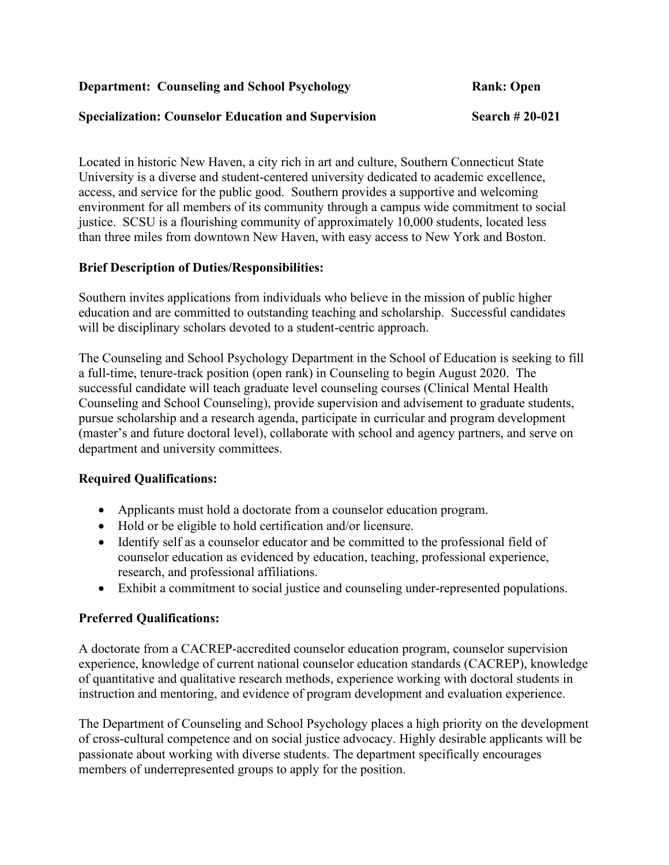**Department:** Counseling and School Psychology **Rank: Open** Rank: Open

#### **Specialization: Counselor Education and Supervision Search # 20-021**

Located in historic New Haven, a city rich in art and culture, Southern Connecticut State University is a diverse and student-centered university dedicated to academic excellence, access, and service for the public good. Southern provides a supportive and welcoming environment for all members of its community through a campus wide commitment to social justice. SCSU is a flourishing community of approximately 10,000 students, located less than three miles from downtown New Haven, with easy access to New York and Boston.

### **Brief Description of Duties/Responsibilities:**

Southern invites applications from individuals who believe in the mission of public higher education and are committed to outstanding teaching and scholarship. Successful candidates will be disciplinary scholars devoted to a student-centric approach.

The Counseling and School Psychology Department in the School of Education is seeking to fill a full-time, tenure-track position (open rank) in Counseling to begin August 2020. The successful candidate will teach graduate level counseling courses (Clinical Mental Health Counseling and School Counseling), provide supervision and advisement to graduate students, pursue scholarship and a research agenda, participate in curricular and program development (master's and future doctoral level), collaborate with school and agency partners, and serve on department and university committees.

# **Required Qualifications:**

- Applicants must hold a doctorate from a counselor education program.
- Hold or be eligible to hold certification and/or licensure.
- Identify self as a counselor educator and be committed to the professional field of counselor education as evidenced by education, teaching, professional experience, research, and professional affiliations.
- Exhibit a commitment to social justice and counseling under-represented populations.

# **Preferred Qualifications:**

A doctorate from a CACREP-accredited counselor education program, counselor supervision experience, knowledge of current national counselor education standards (CACREP), knowledge of quantitative and qualitative research methods, experience working with doctoral students in instruction and mentoring, and evidence of program development and evaluation experience.

The Department of Counseling and School Psychology places a high priority on the development of cross-cultural competence and on social justice advocacy. Highly desirable applicants will be passionate about working with diverse students. The department specifically encourages members of underrepresented groups to apply for the position.